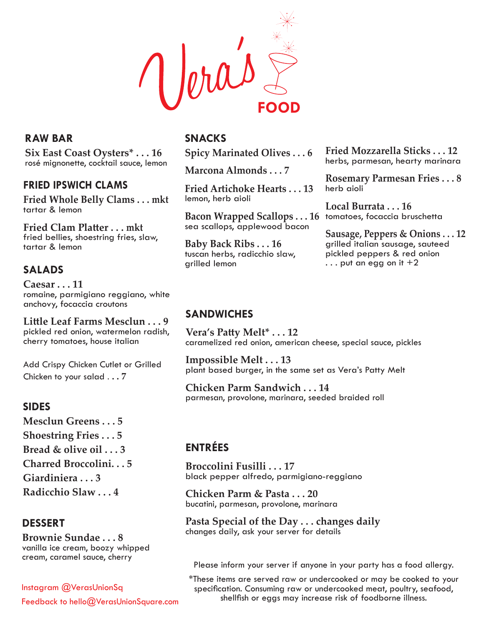Jorais **FOOD**

## **RAW BAR**

**Six East Coast Oysters\* . . . 16** rosé mignonette, cocktail sauce, lemon

## **FRIED IPSWICH CLAMS**

**Fried Whole Belly Clams . . . mkt** tartar & lemon

**Fried Clam Platter . . . mkt** fried bellies, shoestring fries, slaw, tartar & lemon

# **SALADS**

**Caesar . . . 11** romaine, parmigiano reggiano, white anchovy, focaccia croutons

**Little Leaf Farms Mesclun . . . 9** pickled red onion, watermelon radish, cherry tomatoes, house italian

Add Crispy Chicken Cutlet or Grilled Chicken to your salad . **. . 7**

### **SIDES**

**Mesclun Greens . . . 5 Shoestring Fries . . . 5 Bread & olive oil . . . 3 Charred Broccolini. . . 5 Giardiniera . . . 3 Radicchio Slaw . . . 4**

### **DESSERT**

**Brownie Sundae . . . 8** vanilla ice cream, boozy whipped

Instagram @VerasUnionSq Feedback to hello@VerasUnionSquare.com

# **SNACKS**

**Spicy Marinated Olives . . . 6**

**Marcona Almonds . . . 7** 

**Fried Artichoke Hearts . . . 13** lemon, herb aioli

**Bacon Wrapped Scallops . . . 16**  tomatoes, focaccia bruschetta sea scallops, applewood bacon

**Baby Back Ribs . . . 16** tuscan herbs, radicchio slaw, grilled lemon

**Fried Mozzarella Sticks . . . 12** herbs, parmesan, hearty marinara

**Rosemary Parmesan Fries . . . 8** herb aioli

**Local Burrata . . . 16**

**Sausage, Peppers & Onions . . . 12** grilled italian sausage, sauteed pickled peppers & red onion  $\ldots$  put an egg on it  $+2$ 

### **SANDWICHES**

**Vera's Patty Melt\* . . . 12** caramelized red onion, american cheese, special sauce, pickles

**Impossible Melt . . . 13** plant based burger, in the same set as Vera's Patty Melt

**Chicken Parm Sandwich . . . 14** parmesan, provolone, marinara, seeded braided roll

# **ENTRÉES**

**Broccolini Fusilli . . . 17** black pepper alfredo, parmigiano-reggiano

**Chicken Parm & Pasta . . . 20** bucatini, parmesan, provolone, marinara

**Pasta Special of the Day . . . changes daily** changes daily, ask your server for details

cream, caramel sauce, cherry Please inform your server if anyone in your party has a food allergy.

\*These items are served raw or undercooked or may be cooked to your specification. Consuming raw or undercooked meat, poultry, seafood, shellfish or eggs may increase risk of foodborne illness.